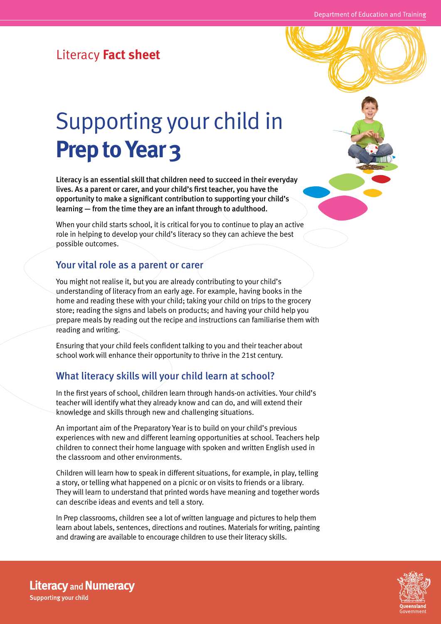## Literacy **Fact sheet**

# Supporting your child in **Prep to Year 3**

Literacy is an essential skill that children need to succeed in their everyday lives. As a parent or carer, and your child's first teacher, you have the opportunity to make a significant contribution to supporting your child's learning — from the time they are an infant through to adulthood.

When your child starts school, it is critical for you to continue to play an active role in helping to develop your child's literacy so they can achieve the best possible outcomes.

#### Your vital role as a parent or carer

You might not realise it, but you are already contributing to your child's understanding of literacy from an early age. For example, having books in the home and reading these with your child; taking your child on trips to the grocery store; reading the signs and labels on products; and having your child help you prepare meals by reading out the recipe and instructions can familiarise them with reading and writing.

Ensuring that your child feels confident talking to you and their teacher about school work will enhance their opportunity to thrive in the 21st century.

### What literacy skills will your child learn at school?

In the first years of school, children learn through hands-on activities. Your child's teacher will identify what they already know and can do, and will extend their knowledge and skills through new and challenging situations.

An important aim of the Preparatory Year is to build on your child's previous experiences with new and different learning opportunities at school. Teachers help children to connect their home language with spoken and written English used in the classroom and other environments.

Children will learn how to speak in different situations, for example, in play, telling a story, or telling what happened on a picnic or on visits to friends or a library. They will learn to understand that printed words have meaning and together words can describe ideas and events and tell a story.

In Prep classrooms, children see a lot of written language and pictures to help them learn about labels, sentences, directions and routines. Materials for writing, painting and drawing are available to encourage children to use their literacy skills.



**Literacy and Numeracy Supporting your child**